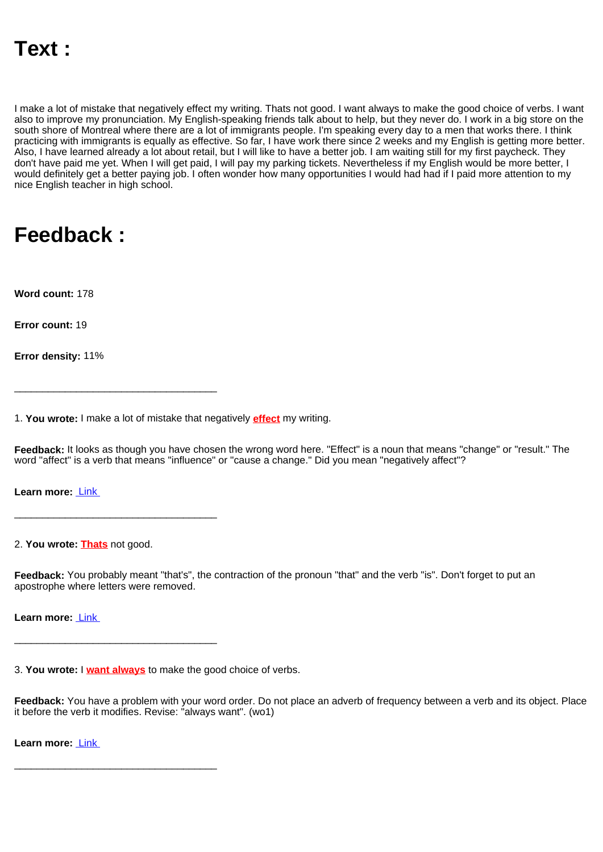I make a lot of mistake that negatively effect my writing. Thats not good. I want always to make the good choice of verbs. I want also to improve my pronunciation. My English-speaking friends talk about to help, but they never do. I work in a big store on the south shore of Montreal where there are a lot of immigrants people. I'm speaking every day to a men that works there. I think practicing with immigrants is equally as effective. So far, I have work there since 2 weeks and my English is getting more better. Also, I have learned already a lot about retail, but I will like to have a better job. I am waiting still for my first paycheck. They don't have paid me yet. When I will get paid, I will pay my parking tickets. Nevertheless if my English would be more better, I would definitely get a better paying job. I often wonder how many opportunities I would had nad if I paid more attention to my nice English teacher in high school.

## **Feedback :**

**Word count:** 178

**Error count:** 19

**Error density:** 11%

\_\_\_\_\_\_\_\_\_\_\_\_\_\_\_\_\_\_\_\_\_\_\_\_\_\_\_\_\_\_\_\_\_\_\_\_

\_\_\_\_\_\_\_\_\_\_\_\_\_\_\_\_\_\_\_\_\_\_\_\_\_\_\_\_\_\_\_\_\_\_\_\_

\_\_\_\_\_\_\_\_\_\_\_\_\_\_\_\_\_\_\_\_\_\_\_\_\_\_\_\_\_\_\_\_\_\_\_\_

\_\_\_\_\_\_\_\_\_\_\_\_\_\_\_\_\_\_\_\_\_\_\_\_\_\_\_\_\_\_\_\_\_\_\_\_

1. **You wrote:** I make a lot of mistake that negatively **effect** my writing.

**Feedback:** It looks as though you have chosen the wrong word here. "Effect" is a noun that means "change" or "result." The word "affect" is a verb that means "influence" or "cause a change." Did you mean "negatively affect"?

**Learn more:** [Link](https://virtualwritingtutor.com/practice/much_many.htm) 

2. **You wrote: Thats** not good.

**Feedback:** You probably meant "that's", the contraction of the pronoun "that" and the verb "is". Don't forget to put an apostrophe where letters were removed.

**Learn more:** [Link](https://virtualwritingtutor.com/blog/apostrophe_error.php) 

3. **You wrote:** I **want always** to make the good choice of verbs.

**Feedback:** You have a problem with your word order. Do not place an adverb of frequency between a verb and its object. Place it before the verb it modifies. Revise: "always want". (wo1)

**Learn more:** [Link](http://virtualwritingtutor.com/blog/adverb_error.php)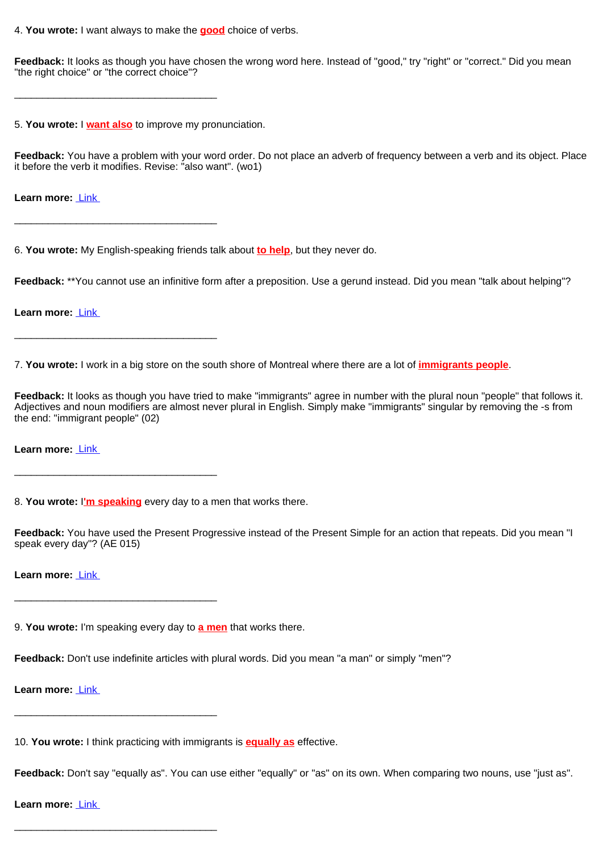4. **You wrote:** I want always to make the **good** choice of verbs.

Feedback: It looks as though you have chosen the wrong word here. Instead of "good," try "right" or "correct." Did you mean "the right choice" or "the correct choice"?

5. **You wrote:** I **want also** to improve my pronunciation.

\_\_\_\_\_\_\_\_\_\_\_\_\_\_\_\_\_\_\_\_\_\_\_\_\_\_\_\_\_\_\_\_\_\_\_\_

\_\_\_\_\_\_\_\_\_\_\_\_\_\_\_\_\_\_\_\_\_\_\_\_\_\_\_\_\_\_\_\_\_\_\_\_

\_\_\_\_\_\_\_\_\_\_\_\_\_\_\_\_\_\_\_\_\_\_\_\_\_\_\_\_\_\_\_\_\_\_\_\_

\_\_\_\_\_\_\_\_\_\_\_\_\_\_\_\_\_\_\_\_\_\_\_\_\_\_\_\_\_\_\_\_\_\_\_\_

\_\_\_\_\_\_\_\_\_\_\_\_\_\_\_\_\_\_\_\_\_\_\_\_\_\_\_\_\_\_\_\_\_\_\_\_

\_\_\_\_\_\_\_\_\_\_\_\_\_\_\_\_\_\_\_\_\_\_\_\_\_\_\_\_\_\_\_\_\_\_\_\_

\_\_\_\_\_\_\_\_\_\_\_\_\_\_\_\_\_\_\_\_\_\_\_\_\_\_\_\_\_\_\_\_\_\_\_\_

**Feedback:** You have a problem with your word order. Do not place an adverb of frequency between a verb and its object. Place it before the verb it modifies. Revise: "also want". (wo1)

**Learn more:** [Link](http://virtualwritingtutor.com/blog/adverb_error.php) 

6. **You wrote:** My English-speaking friends talk about **to help**, but they never do.

Feedback: \*\*You cannot use an infinitive form after a preposition. Use a gerund instead. Did you mean "talk about helping"?

**Learn more:** [Link](https://virtualwritingtutor.com/blog/verb_agreement_error.php) 

7. **You wrote:** I work in a big store on the south shore of Montreal where there are a lot of **immigrants people**.

**Feedback:** It looks as though you have tried to make "immigrants" agree in number with the plural noun "people" that follows it. Adjectives and noun modifiers are almost never plural in English. Simply make "immigrants" singular by removing the -s from the end: "immigrant people" (02)

**Learn more:** [Link](https://virtualwritingtutor.com/blog/adjective_agreement_error.php) 

8. **You wrote:** I**'m speaking** every day to a men that works there.

**Feedback:** You have used the Present Progressive instead of the Present Simple for an action that repeats. Did you mean "I speak every day"? (AE 015)

**Learn more:** [Link](https://virtualwritingtutor.com/blog/aspect_error.php) 

9. **You wrote:** I'm speaking every day to **a men** that works there.

**Feedback:** Don't use indefinite articles with plural words. Did you mean "a man" or simply "men"?

**Learn more:** [Link](http://virtualwritingtutor.com/blog/remove_article_before_plural_noun.php) 

10. **You wrote:** I think practicing with immigrants is **equally as** effective.

**Feedback:** Don't say "equally as". You can use either "equally" or "as" on its own. When comparing two nouns, use "just as".

**Learn more:** [Link](http://virtualwritingtutor.com/blog/wordiness.php)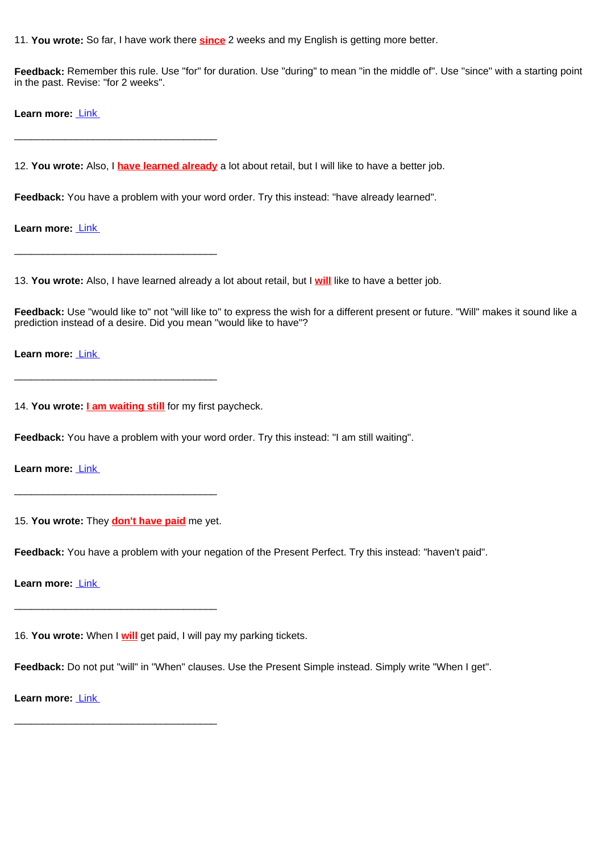11. **You wrote:** So far, I have work there **since** 2 weeks and my English is getting more better.

**Feedback:** Remember this rule. Use "for" for duration. Use "during" to mean "in the middle of". Use "since" with a starting point in the past. Revise: "for 2 weeks".

**Learn more:** [Link](https://virtualwritingtutor.com/blog/for_versus_since.php) 

\_\_\_\_\_\_\_\_\_\_\_\_\_\_\_\_\_\_\_\_\_\_\_\_\_\_\_\_\_\_\_\_\_\_\_\_

\_\_\_\_\_\_\_\_\_\_\_\_\_\_\_\_\_\_\_\_\_\_\_\_\_\_\_\_\_\_\_\_\_\_\_\_

\_\_\_\_\_\_\_\_\_\_\_\_\_\_\_\_\_\_\_\_\_\_\_\_\_\_\_\_\_\_\_\_\_\_\_\_

12. **You wrote:** Also, I **have learned already** a lot about retail, but I will like to have a better job.

Feedback: You have a problem with your word order. Try this instead: "have already learned".

**Learn more:** [Link](http://virtualwritingtutor.com/blog/adverb_error.php) 

13. **You wrote:** Also, I have learned already a lot about retail, but I **will** like to have a better job.

**Feedback:** Use "would like to" not "will like to" to express the wish for a different present or future. "Will" makes it sound like a prediction instead of a desire. Did you mean "would like to have"?

**Learn more:** [Link](http://virtualwritingtutor.com/blog/comma_needed.php) 

14. **You wrote: I am waiting still** for my first paycheck.

**Feedback:** You have a problem with your word order. Try this instead: "I am still waiting".

**Learn more:** [Link](http://virtualwritingtutor.com/blog/adverb_error.php) 

15. **You wrote:** They **don't have paid** me yet.

\_\_\_\_\_\_\_\_\_\_\_\_\_\_\_\_\_\_\_\_\_\_\_\_\_\_\_\_\_\_\_\_\_\_\_\_

\_\_\_\_\_\_\_\_\_\_\_\_\_\_\_\_\_\_\_\_\_\_\_\_\_\_\_\_\_\_\_\_\_\_\_\_

\_\_\_\_\_\_\_\_\_\_\_\_\_\_\_\_\_\_\_\_\_\_\_\_\_\_\_\_\_\_\_\_\_\_\_\_

**Feedback:** You have a problem with your negation of the Present Perfect. Try this instead: "haven't paid".

**Learn more:** [Link](https://virtualwritingtutor.com/blog/for_versus_since.php) 

16. **You wrote:** When I **will** get paid, I will pay my parking tickets.

**Feedback:** Do not put "will" in "When" clauses. Use the Present Simple instead. Simply write "When I get".

**Learn more:** [Link](http://virtualwritingtutor.com/blog/future_tense.php)